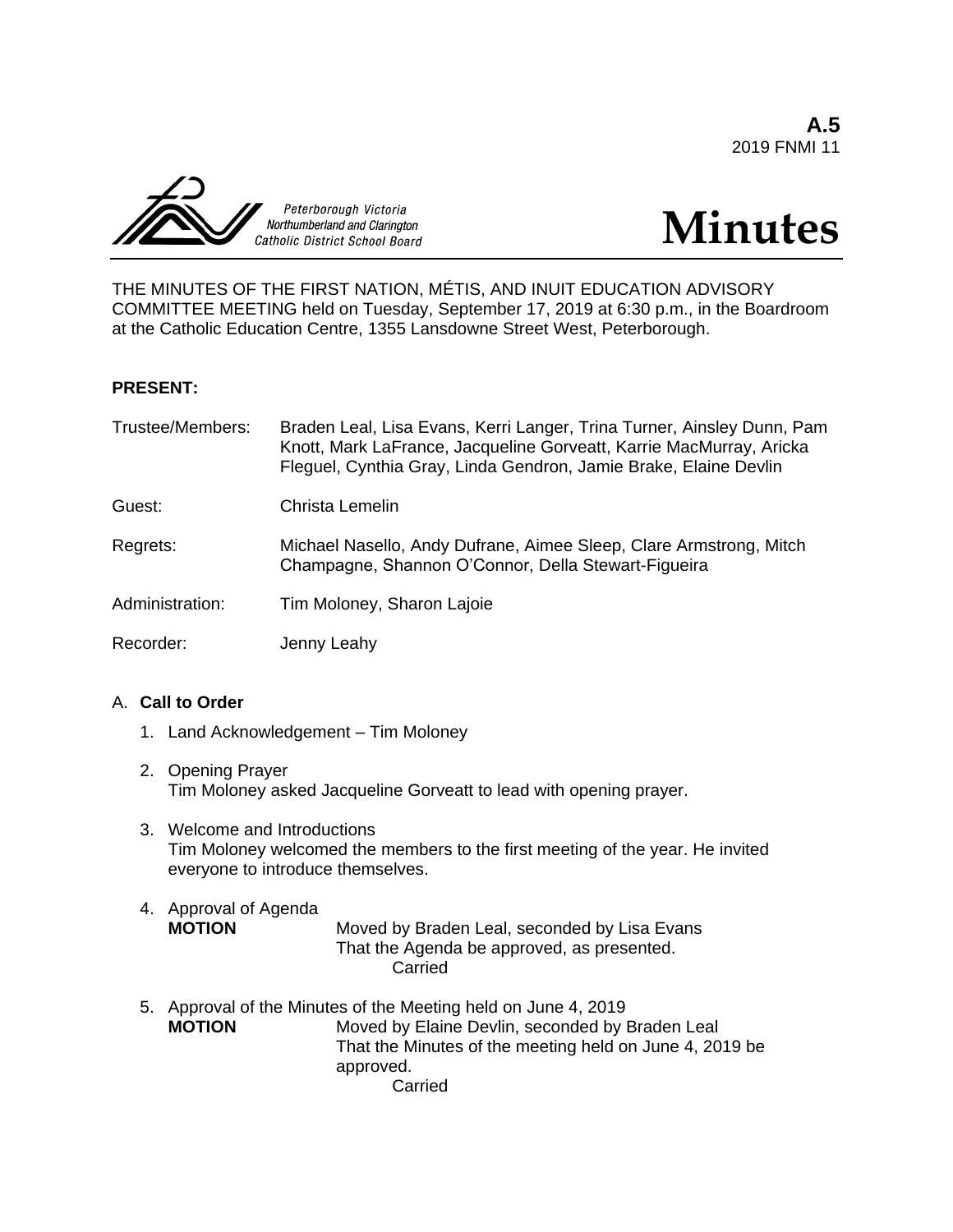**A.5** 2019 FNMI 11





THE MINUTES OF THE FIRST NATION, MÉTIS, AND INUIT EDUCATION ADVISORY COMMITTEE MEETING held on Tuesday, September 17, 2019 at 6:30 p.m., in the Boardroom at the Catholic Education Centre, 1355 Lansdowne Street West, Peterborough.

# **PRESENT:**

| Trustee/Members: | Braden Leal, Lisa Evans, Kerri Langer, Trina Turner, Ainsley Dunn, Pam<br>Knott, Mark LaFrance, Jacqueline Gorveatt, Karrie MacMurray, Aricka<br>Fleguel, Cynthia Gray, Linda Gendron, Jamie Brake, Elaine Devlin |
|------------------|-------------------------------------------------------------------------------------------------------------------------------------------------------------------------------------------------------------------|
| Guest:           | Christa Lemelin                                                                                                                                                                                                   |
| Regrets:         | Michael Nasello, Andy Dufrane, Aimee Sleep, Clare Armstrong, Mitch<br>Champagne, Shannon O'Connor, Della Stewart-Figueira                                                                                         |
| Administration:  | Tim Moloney, Sharon Lajoie                                                                                                                                                                                        |
| Recorder:        | Jenny Leahy                                                                                                                                                                                                       |

# A. **Call to Order**

- 1. Land Acknowledgement Tim Moloney
- 2. Opening Prayer Tim Moloney asked Jacqueline Gorveatt to lead with opening prayer.
- 3. Welcome and Introductions Tim Moloney welcomed the members to the first meeting of the year. He invited everyone to introduce themselves.
- 4. Approval of Agenda **MOTION** Moved by Braden Leal, seconded by Lisa Evans That the Agenda be approved, as presented. Carried
- 5. Approval of the Minutes of the Meeting held on June 4, 2019<br>MOTION Moved by Elaine Devlin. seconded by I Moved by Elaine Devlin, seconded by Braden Leal That the Minutes of the meeting held on June 4, 2019 be approved. Carried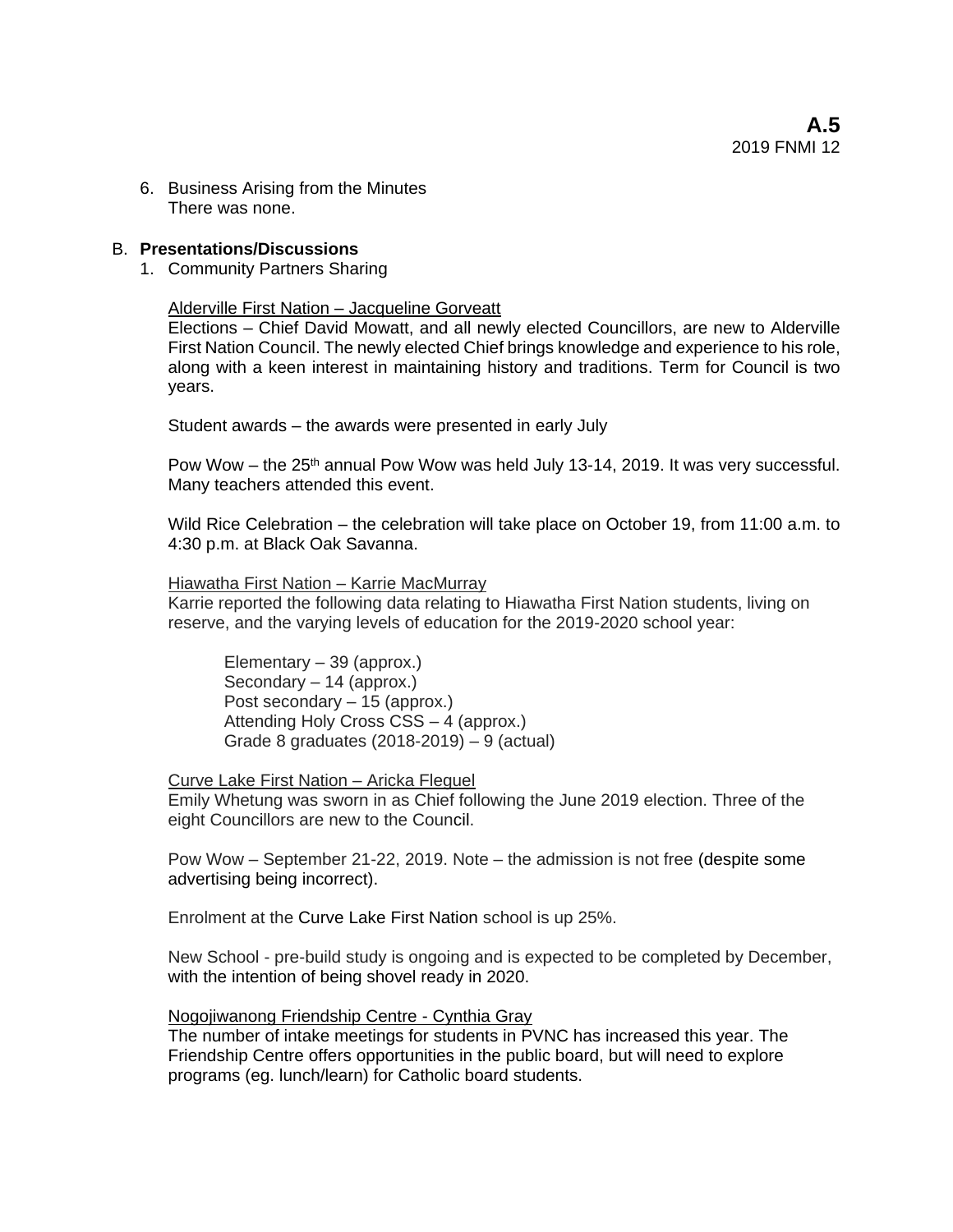6. Business Arising from the Minutes There was none.

### B. **Presentations/Discussions**

1. Community Partners Sharing

### Alderville First Nation – Jacqueline Gorveatt

Elections – Chief David Mowatt, and all newly elected Councillors, are new to Alderville First Nation Council. The newly elected Chief brings knowledge and experience to his role, along with a keen interest in maintaining history and traditions. Term for Council is two years.

Student awards – the awards were presented in early July

Pow Wow – the 25<sup>th</sup> annual Pow Wow was held July 13-14, 2019. It was very successful. Many teachers attended this event.

Wild Rice Celebration – the celebration will take place on October 19, from 11:00 a.m. to 4:30 p.m. at Black Oak Savanna.

Hiawatha First Nation – Karrie MacMurray

Karrie reported the following data relating to Hiawatha First Nation students, living on reserve, and the varying levels of education for the 2019-2020 school year:

Elementary – 39 (approx.) Secondary – 14 (approx.) Post secondary – 15 (approx.) Attending Holy Cross CSS – 4 (approx.) Grade 8 graduates (2018-2019) – 9 (actual)

Curve Lake First Nation – Aricka Fleguel

Emily Whetung was sworn in as Chief following the June 2019 election. Three of the eight Councillors are new to the Council.

Pow Wow – September 21-22, 2019. Note – the admission is not free (despite some advertising being incorrect).

Enrolment at the Curve Lake First Nation school is up 25%.

New School - pre-build study is ongoing and is expected to be completed by December, with the intention of being shovel ready in 2020.

### Nogojiwanong Friendship Centre - Cynthia Gray

The number of intake meetings for students in PVNC has increased this year. The Friendship Centre offers opportunities in the public board, but will need to explore programs (eg. lunch/learn) for Catholic board students.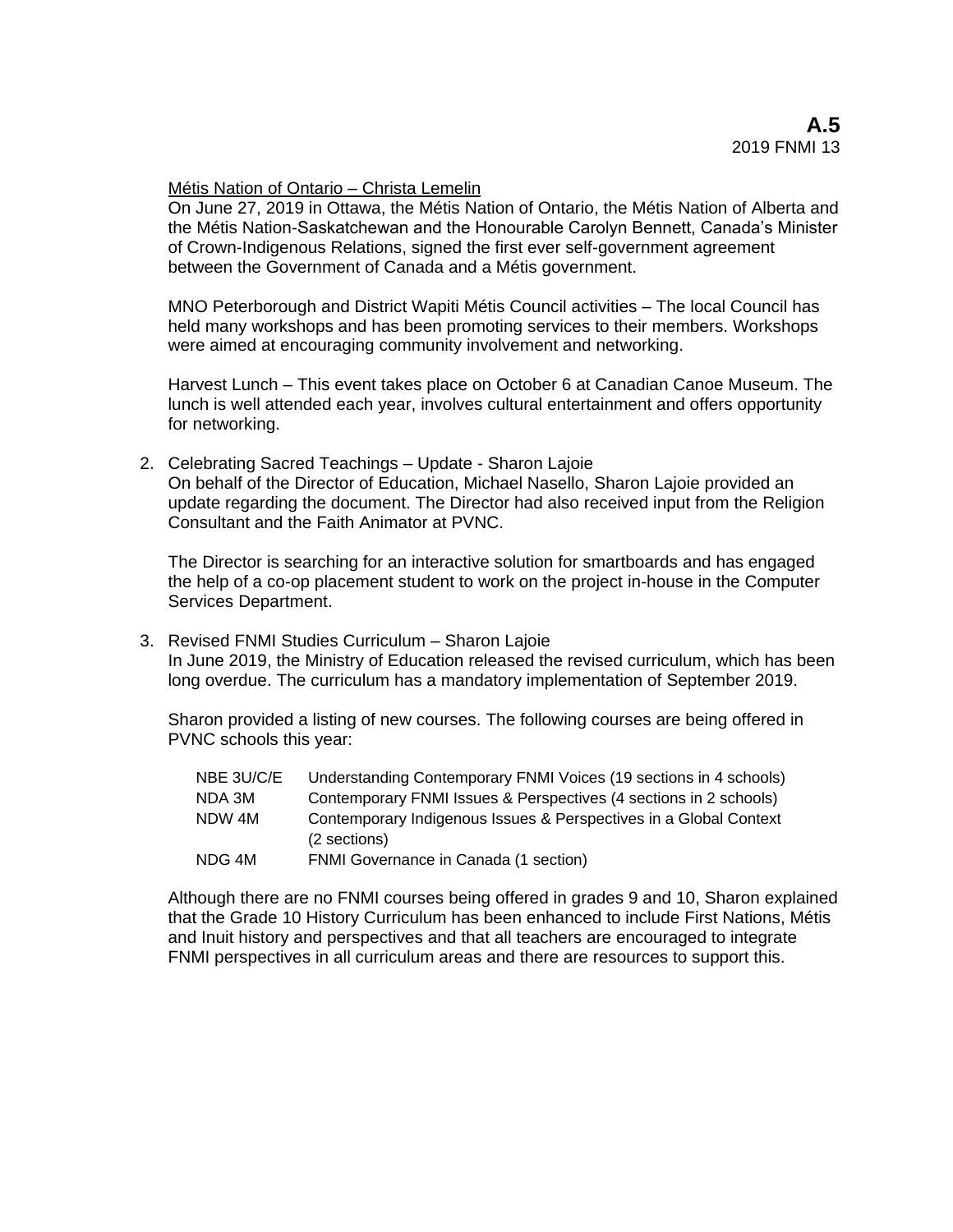#### Métis Nation of Ontario – Christa Lemelin

On June 27, 2019 in Ottawa, the Métis Nation of Ontario, the Métis Nation of Alberta and the Métis Nation-Saskatchewan and the Honourable Carolyn Bennett, Canada's Minister of Crown-Indigenous Relations, signed the first ever self-government agreement between the Government of Canada and a Métis government.

MNO Peterborough and District Wapiti Métis Council activities – The local Council has held many workshops and has been promoting services to their members. Workshops were aimed at encouraging community involvement and networking.

Harvest Lunch – This event takes place on October 6 at Canadian Canoe Museum. The lunch is well attended each year, involves cultural entertainment and offers opportunity for networking.

2. Celebrating Sacred Teachings – Update - Sharon Lajoie On behalf of the Director of Education, Michael Nasello, Sharon Lajoie provided an update regarding the document. The Director had also received input from the Religion Consultant and the Faith Animator at PVNC.

The Director is searching for an interactive solution for smartboards and has engaged the help of a co-op placement student to work on the project in-house in the Computer Services Department.

3. Revised FNMI Studies Curriculum – Sharon Lajoie

In June 2019, the Ministry of Education released the revised curriculum, which has been long overdue. The curriculum has a mandatory implementation of September 2019.

Sharon provided a listing of new courses. The following courses are being offered in PVNC schools this year:

| NBE 3U/C/E | Understanding Contemporary FNMI Voices (19 sections in 4 schools)                 |
|------------|-----------------------------------------------------------------------------------|
| NDA 3M     | Contemporary FNMI Issues & Perspectives (4 sections in 2 schools)                 |
| NDW 4M     | Contemporary Indigenous Issues & Perspectives in a Global Context<br>(2 sections) |
| NDG 4M     | FNMI Governance in Canada (1 section)                                             |

Although there are no FNMI courses being offered in grades 9 and 10, Sharon explained that the Grade 10 History Curriculum has been enhanced to include First Nations, Métis and Inuit history and perspectives and that all teachers are encouraged to integrate FNMI perspectives in all curriculum areas and there are resources to support this.